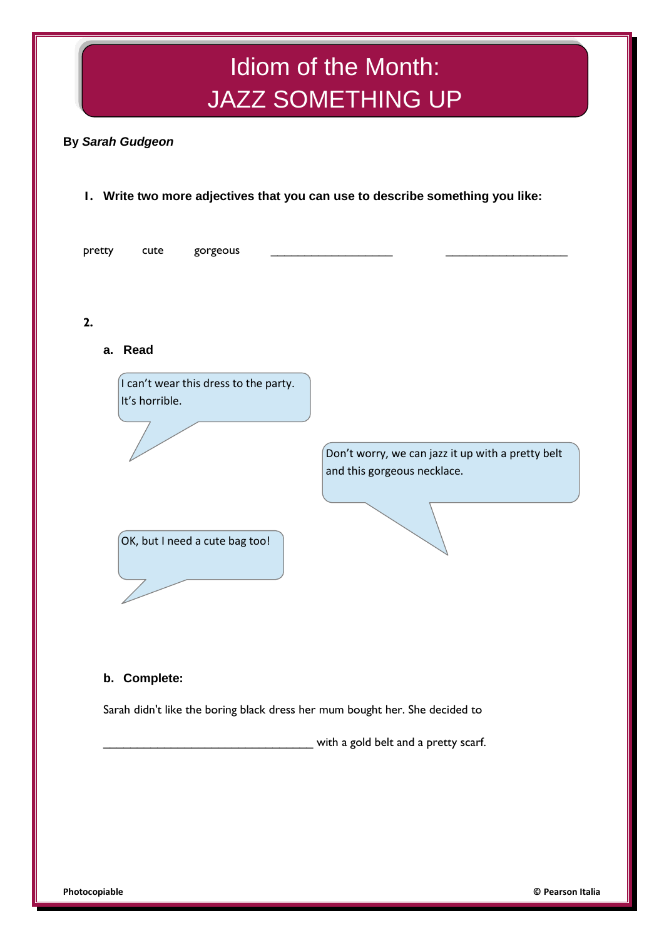# Idiom of the Month: JAZZ SOMETHING UP

# **By** *Sarah Gudgeon*

# **1. Write two more adjectives that you can use to describe something you like:**



## **b. Complete:**

Sarah didn't like the boring black dress her mum bought her. She decided to

\_\_\_\_\_\_\_\_\_\_\_\_\_\_\_\_\_\_\_\_\_\_\_\_\_\_\_\_\_\_\_ with a gold belt and a pretty scarf.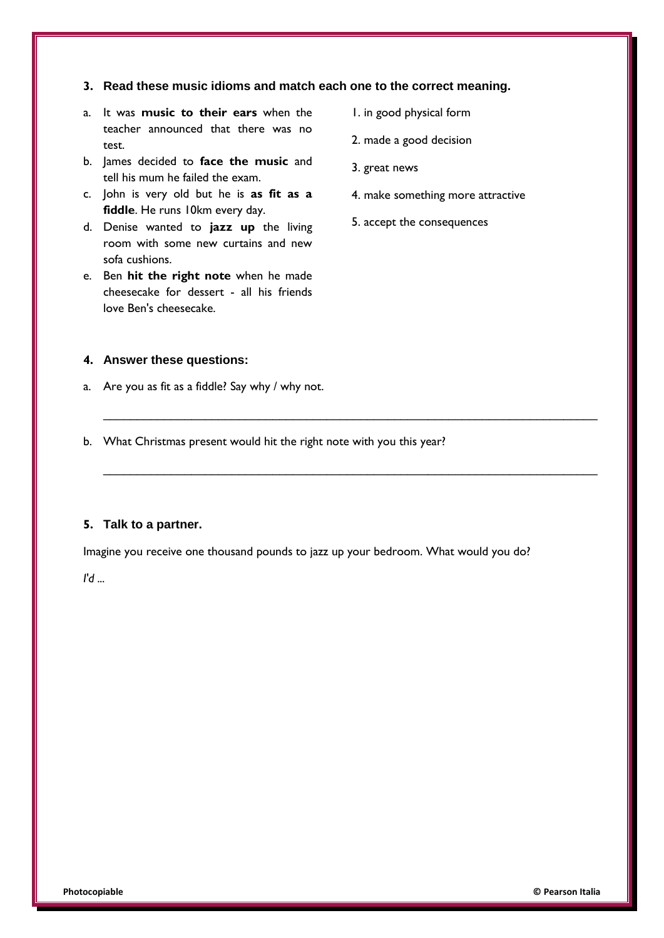#### **3. Read these music idioms and match each one to the correct meaning.**

- a. It was **music to their ears** when the teacher announced that there was no test.
- b. James decided to **face the music** and tell his mum he failed the exam.
- c. John is very old but he is **as fit as a fiddle**. He runs 10km every day.
- d. Denise wanted to **jazz up** the living room with some new curtains and new sofa cushions.
- e. Ben **hit the right note** when he made cheesecake for dessert - all his friends love Ben's cheesecake.
- 1. in good physical form
- 2. made a good decision
- 3. great news
- 4. make something more attractive
- 5. accept the consequences

## **4. Answer these questions:**

- a. Are you as fit as a fiddle? Say why / why not.
- b. What Christmas present would hit the right note with you this year?

#### **5. Talk to a partner.**

Imagine you receive one thousand pounds to jazz up your bedroom. What would you do?

 $\_$  , and the contribution of the contribution of  $\mathcal{L}_\mathcal{A}$  , and the contribution of  $\mathcal{L}_\mathcal{A}$ 

 $\_$  , and the set of the set of the set of the set of the set of the set of the set of the set of the set of the set of the set of the set of the set of the set of the set of the set of the set of the set of the set of th

*I'd ...*